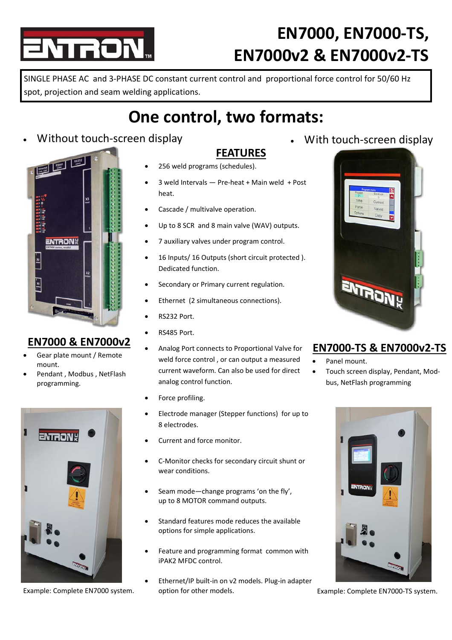# TROI

## **EN7000, EN7000‐TS, EN7000v2 & EN7000v2‐TS**

SINGLE PHASE AC and 3‐PHASE DC constant current control and proportional force control for 50/60 Hz spot, projection and seam welding applications.

### **One control, two formats:**

**FEATURES**

### Without touch-screen display **With touch-screen display With touch-screen display**



#### **EN7000 & EN7000v2**

- Gear plate mount / Remote mount.
- Pendant , Modbus , NetFlash programming.



- 256 weld programs (schedules).
- 3 weld Intervals Pre‐heat + Main weld + Post heat.
- Cascade / multivalve operation.
- Up to 8 SCR and 8 main valve (WAV) outputs.
- 7 auxiliary valves under program control.
- 16 Inputs/ 16 Outputs (short circuit protected ). Dedicated function.
- Secondary or Primary current regulation.
- Ethernet (2 simultaneous connections).
- RS232 Port.
- RS485 Port.
- Analog Port connects to Proportional Valve for weld force control , or can output a measured current waveform. Can also be used for direct analog control function.
- Force profiling.
- Electrode manager (Stepper functions) for up to 8 electrodes.
- Current and force monitor.
- C‐Monitor checks for secondary circuit shunt or wear conditions.
- Seam mode—change programs 'on the fly', up to 8 MOTOR command outputs.
- Standard features mode reduces the available options for simple applications.
- Feature and programming format common with iPAK2 MFDC control.
- Example: Complete EN7000 system. 
option for other models. 
Guida Example: Complete EN7000-TS system. Ethernet/IP built‐in on v2 models. Plug‐in adapter option for other models.



#### **EN7000‐TS & EN7000v2‐TS**

- Panel mount.
- Touch screen display, Pendant, Mod‐ bus, NetFlash programming